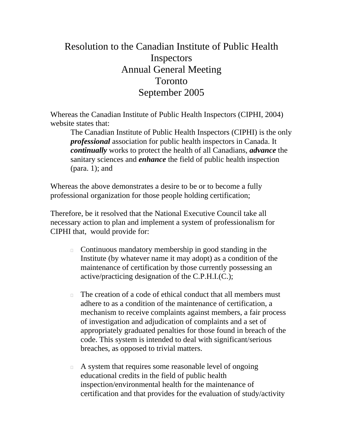## Resolution to the Canadian Institute of Public Health Inspectors Annual General Meeting Toronto September 2005

Whereas the Canadian Institute of Public Health Inspectors (CIPHI, 2004) website states that:

The Canadian Institute of Public Health Inspectors (CIPHI) is the only *professional* association for public health inspectors in Canada. It *continually* works to protect the health of all Canadians, *advance* the sanitary sciences and *enhance* the field of public health inspection (para. 1); and

Whereas the above demonstrates a desire to be or to become a fully professional organization for those people holding certification;

Therefore, be it resolved that the National Executive Council take all necessary action to plan and implement a system of professionalism for CIPHI that, would provide for:

- Continuous mandatory membership in good standing in the Institute (by whatever name it may adopt) as a condition of the maintenance of certification by those currently possessing an active/practicing designation of the C.P.H.I.(C.);
- $\Box$  The creation of a code of ethical conduct that all members must adhere to as a condition of the maintenance of certification, a mechanism to receive complaints against members, a fair process of investigation and adjudication of complaints and a set of appropriately graduated penalties for those found in breach of the code. This system is intended to deal with significant/serious breaches, as opposed to trivial matters.
- A system that requires some reasonable level of ongoing educational credits in the field of public health inspection/environmental health for the maintenance of certification and that provides for the evaluation of study/activity